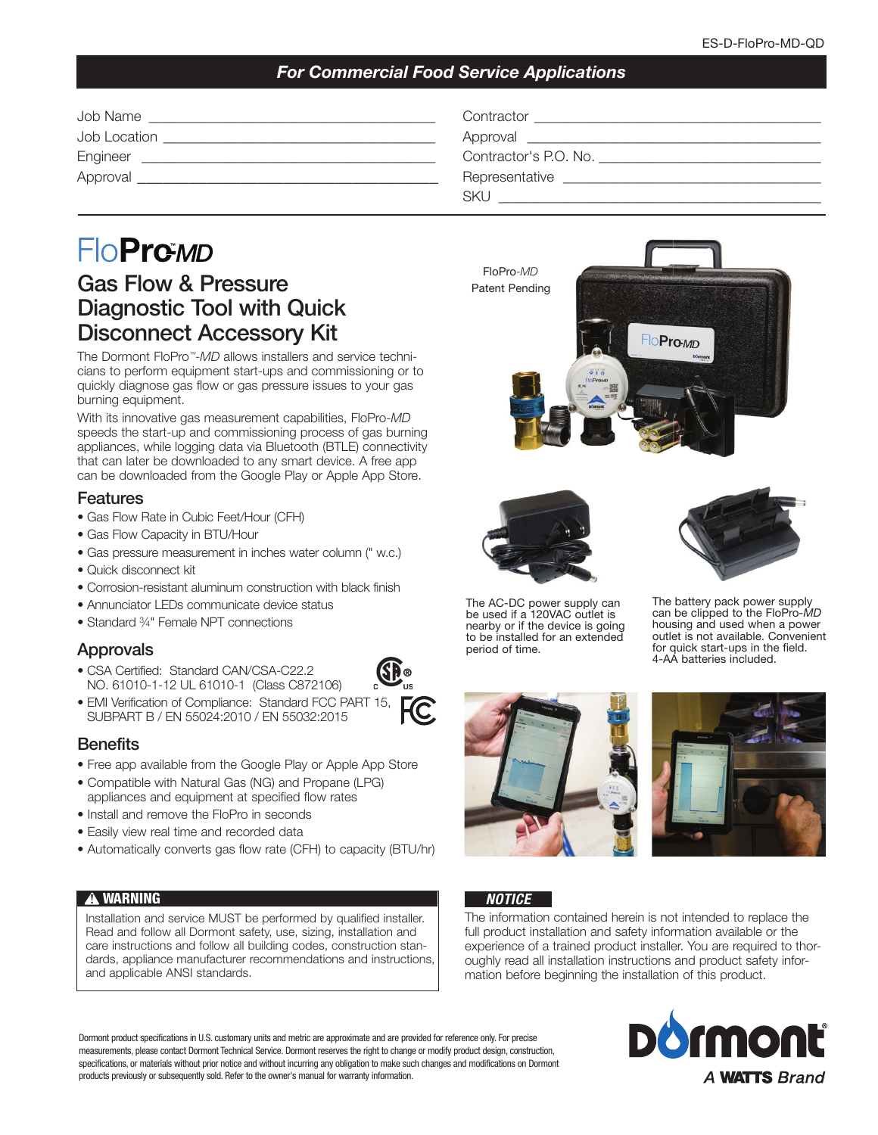## *For Commercial Food Service Applications*

| Job Name     | Contractor                                                                                                                                                                                                                     |
|--------------|--------------------------------------------------------------------------------------------------------------------------------------------------------------------------------------------------------------------------------|
| Job Location | Approval and the contract of the contract of the contract of the contract of the contract of the contract of the contract of the contract of the contract of the contract of the contract of the contract of the contract of t |
| Engineer     | Contractor's P.O. No.                                                                                                                                                                                                          |
| Approval     | Representative                                                                                                                                                                                                                 |
|              | SKL                                                                                                                                                                                                                            |

# FloPro*™-MD*

# Gas Flow & Pressure Diagnostic Tool with Quick Disconnect Accessory Kit

The Dormont FloPro™-*MD* allows installers and service technicians to perform equipment start-ups and commissioning or to quickly diagnose gas flow or gas pressure issues to your gas burning equipment.

With its innovative gas measurement capabilities, FloPro-*MD* speeds the start-up and commissioning process of gas burning appliances, while logging data via Bluetooth (BTLE) connectivity that can later be downloaded to any smart device. A free app can be downloaded from the Google Play or Apple App Store.

#### Features

- Gas Flow Rate in Cubic Feet/Hour (CFH)
- Gas Flow Capacity in BTU/Hour
- Gas pressure measurement in inches water column (" w.c.)
- Quick disconnect kit
- Corrosion-resistant aluminum construction with black finish
- Annunciator LEDs communicate device status
- Standard <sup>3/4</sup>" Female NPT connections

## Approvals

- CSA Certified: Standard CAN/CSA-C22.2 NO. 61010-1-12 UL 61010-1 (Class C872106)
- EMI Verification of Compliance: Standard FCC PART 15, SUBPART B / EN 55024:2010 / EN 55032:2015



- Free app available from the Google Play or Apple App Store
- Compatible with Natural Gas (NG) and Propane (LPG) appliances and equipment at specified flow rates
- Install and remove the FloPro in seconds
- Easily view real time and recorded data
- Automatically converts gas flow rate (CFH) to capacity (BTU/hr)

## **!** WARNING

Installation and service MUST be performed by qualified installer. Read and follow all Dormont safety, use, sizing, installation and care instructions and follow all building codes, construction standards, appliance manufacturer recommendations and instructions, and applicable ANSI standards.

Dormont product specifications in U.S. customary units and metric are approximate and are provided for reference only. For precise measurements, please contact Dormont Technical Service. Dormont reserves the right to change or modify product design, construction, specifications, or materials without prior notice and without incurring any obligation to make such changes and modifications on Dormont products previously or subsequently sold. Refer to the owner's manual for warranty information.







The AC-DC power supply can be used if a 120VAC outlet is nearby or if the device is going to be installed for an extended period of time.

The battery pack power supply can be clipped to the FloPro*-MD* housing and used when a power outlet is not available. Convenient for quick start-ups in the field. 4-AA batteries included.





## *NOTICE*

The information contained herein is not intended to replace the full product installation and safety information available or the experience of a trained product installer. You are required to thoroughly read all installation instructions and product safety information before beginning the installation of this product.